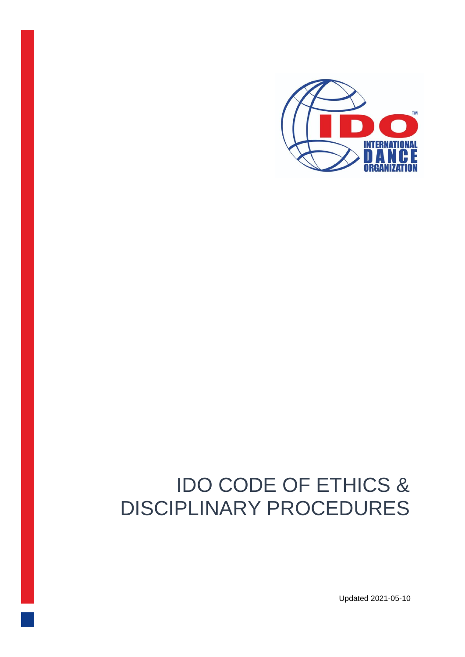

# IDO CODE OF ETHICS & DISCIPLINARY PROCEDURES

Updated 2021-05-10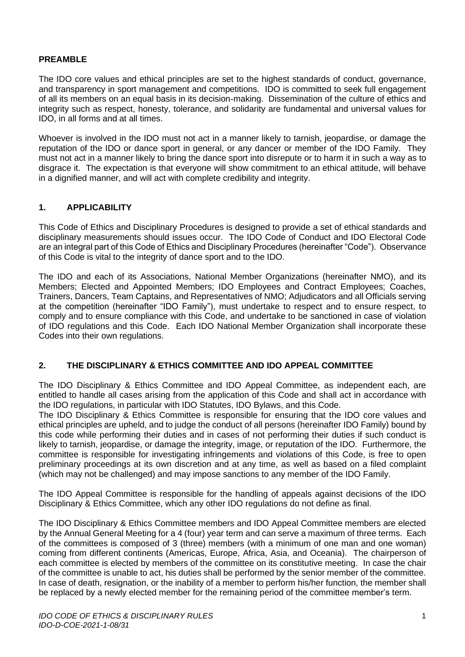#### **PREAMBLE**

The IDO core values and ethical principles are set to the highest standards of conduct, governance, and transparency in sport management and competitions. IDO is committed to seek full engagement of all its members on an equal basis in its decision-making. Dissemination of the culture of ethics and integrity such as respect, honesty, tolerance, and solidarity are fundamental and universal values for IDO, in all forms and at all times.

Whoever is involved in the IDO must not act in a manner likely to tarnish, jeopardise, or damage the reputation of the IDO or dance sport in general, or any dancer or member of the IDO Family. They must not act in a manner likely to bring the dance sport into disrepute or to harm it in such a way as to disgrace it. The expectation is that everyone will show commitment to an ethical attitude, will behave in a dignified manner, and will act with complete credibility and integrity.

## **1. APPLICABILITY**

This Code of Ethics and Disciplinary Procedures is designed to provide a set of ethical standards and disciplinary measurements should issues occur. The IDO Code of Conduct and IDO Electoral Code are an integral part of this Code of Ethics and Disciplinary Procedures (hereinafter "Code"). Observance of this Code is vital to the integrity of dance sport and to the IDO.

The IDO and each of its Associations, National Member Organizations (hereinafter NMO), and its Members; Elected and Appointed Members; IDO Employees and Contract Employees; Coaches, Trainers, Dancers, Team Captains, and Representatives of NMO; Adjudicators and all Officials serving at the competition (hereinafter "IDO Family"), must undertake to respect and to ensure respect, to comply and to ensure compliance with this Code, and undertake to be sanctioned in case of violation of IDO regulations and this Code. Each IDO National Member Organization shall incorporate these Codes into their own regulations.

#### **2. THE DISCIPLINARY & ETHICS COMMITTEE AND IDO APPEAL COMMITTEE**

The IDO Disciplinary & Ethics Committee and IDO Appeal Committee, as independent each, are entitled to handle all cases arising from the application of this Code and shall act in accordance with the IDO regulations, in particular with IDO Statutes, IDO Bylaws, and this Code.

The IDO Disciplinary & Ethics Committee is responsible for ensuring that the IDO core values and ethical principles are upheld, and to judge the conduct of all persons (hereinafter IDO Family) bound by this code while performing their duties and in cases of not performing their duties if such conduct is likely to tarnish, jeopardise, or damage the integrity, image, or reputation of the IDO. Furthermore, the committee is responsible for investigating infringements and violations of this Code, is free to open preliminary proceedings at its own discretion and at any time, as well as based on a filed complaint (which may not be challenged) and may impose sanctions to any member of the IDO Family.

The IDO Appeal Committee is responsible for the handling of appeals against decisions of the IDO Disciplinary & Ethics Committee, which any other IDO regulations do not define as final.

The IDO Disciplinary & Ethics Committee members and IDO Appeal Committee members are elected by the Annual General Meeting for a 4 (four) year term and can serve a maximum of three terms. Each of the committees is composed of 3 (three) members (with a minimum of one man and one woman) coming from different continents (Americas, Europe, Africa, Asia, and Oceania). The chairperson of each committee is elected by members of the committee on its constitutive meeting. In case the chair of the committee is unable to act, his duties shall be performed by the senior member of the committee. In case of death, resignation, or the inability of a member to perform his/her function, the member shall be replaced by a newly elected member for the remaining period of the committee member's term.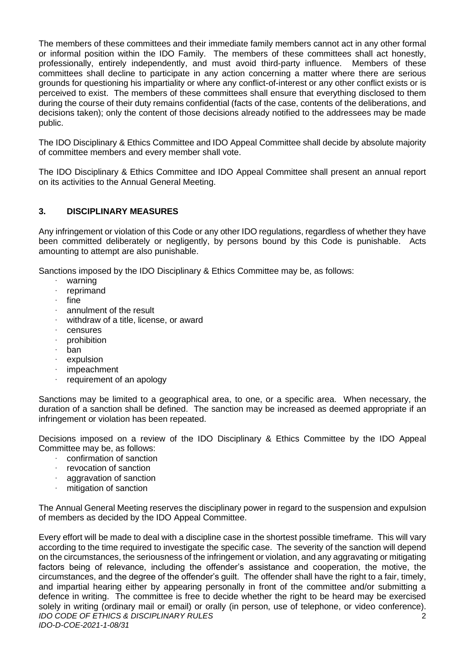The members of these committees and their immediate family members cannot act in any other formal or informal position within the IDO Family. The members of these committees shall act honestly, professionally, entirely independently, and must avoid third-party influence. Members of these committees shall decline to participate in any action concerning a matter where there are serious grounds for questioning his impartiality or where any conflict-of-interest or any other conflict exists or is perceived to exist. The members of these committees shall ensure that everything disclosed to them during the course of their duty remains confidential (facts of the case, contents of the deliberations, and decisions taken); only the content of those decisions already notified to the addressees may be made public.

The IDO Disciplinary & Ethics Committee and IDO Appeal Committee shall decide by absolute majority of committee members and every member shall vote.

The IDO Disciplinary & Ethics Committee and IDO Appeal Committee shall present an annual report on its activities to the Annual General Meeting.

## **3. DISCIPLINARY MEASURES**

Any infringement or violation of this Code or any other IDO regulations, regardless of whether they have been committed deliberately or negligently, by persons bound by this Code is punishable. Acts amounting to attempt are also punishable.

Sanctions imposed by the IDO Disciplinary & Ethics Committee may be, as follows:

- · warning
- · reprimand
- · fine
- annulment of the result
- withdraw of a title, license, or award
- · censures
- · prohibition
- · ban
- expulsion
- impeachment
- requirement of an apology

Sanctions may be limited to a geographical area, to one, or a specific area. When necessary, the duration of a sanction shall be defined. The sanction may be increased as deemed appropriate if an infringement or violation has been repeated.

Decisions imposed on a review of the IDO Disciplinary & Ethics Committee by the IDO Appeal Committee may be, as follows:

- · confirmation of sanction
- revocation of sanction
- aggravation of sanction
- mitigation of sanction

The Annual General Meeting reserves the disciplinary power in regard to the suspension and expulsion of members as decided by the IDO Appeal Committee.

*IDO CODE OF ETHICS & DISCIPLINARY RULES IDO-D-COE-2021-1-08/31* 2 Every effort will be made to deal with a discipline case in the shortest possible timeframe. This will vary according to the time required to investigate the specific case. The severity of the sanction will depend on the circumstances, the seriousness of the infringement or violation, and any aggravating or mitigating factors being of relevance, including the offender's assistance and cooperation, the motive, the circumstances, and the degree of the offender's guilt. The offender shall have the right to a fair, timely, and impartial hearing either by appearing personally in front of the committee and/or submitting a defence in writing. The committee is free to decide whether the right to be heard may be exercised solely in writing (ordinary mail or email) or orally (in person, use of telephone, or video conference).